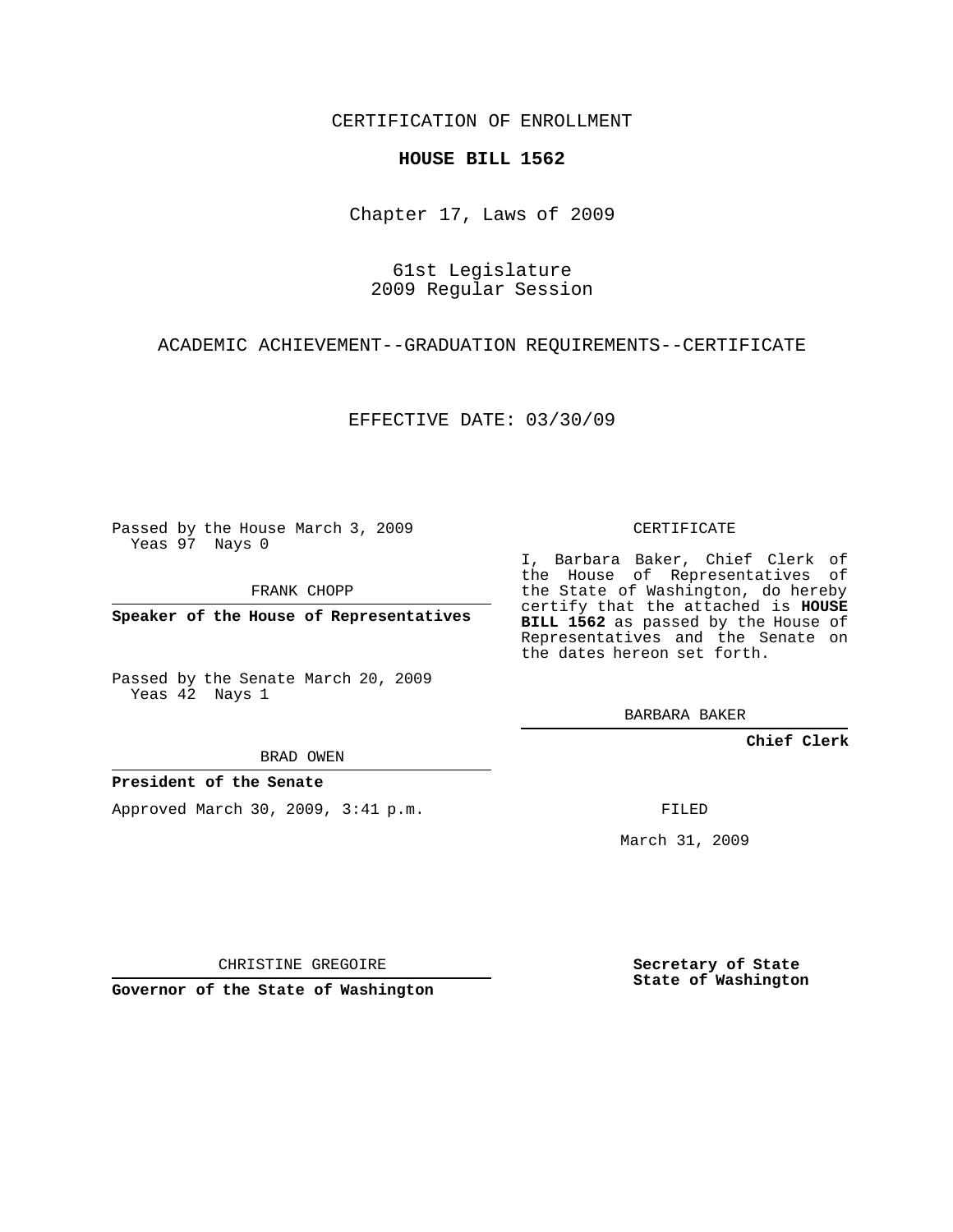CERTIFICATION OF ENROLLMENT

## **HOUSE BILL 1562**

Chapter 17, Laws of 2009

61st Legislature 2009 Regular Session

ACADEMIC ACHIEVEMENT--GRADUATION REQUIREMENTS--CERTIFICATE

EFFECTIVE DATE: 03/30/09

Passed by the House March 3, 2009 Yeas 97 Nays 0

FRANK CHOPP

**Speaker of the House of Representatives**

Passed by the Senate March 20, 2009 Yeas 42 Nays 1

BRAD OWEN

## **President of the Senate**

Approved March 30, 2009, 3:41 p.m.

CERTIFICATE

I, Barbara Baker, Chief Clerk of the House of Representatives of the State of Washington, do hereby certify that the attached is **HOUSE BILL 1562** as passed by the House of Representatives and the Senate on the dates hereon set forth.

BARBARA BAKER

**Chief Clerk**

FILED

March 31, 2009

CHRISTINE GREGOIRE

**Governor of the State of Washington**

**Secretary of State State of Washington**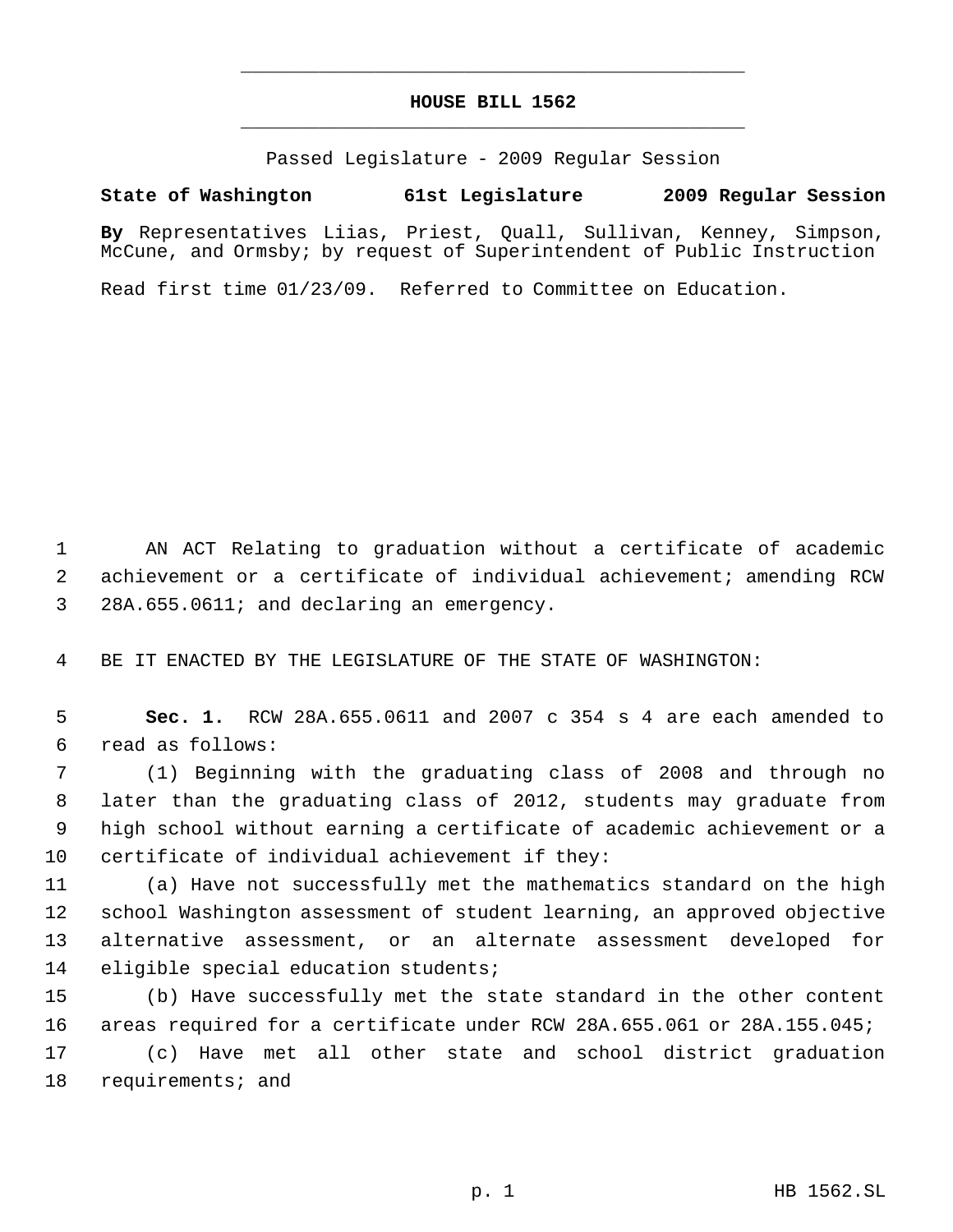## **HOUSE BILL 1562** \_\_\_\_\_\_\_\_\_\_\_\_\_\_\_\_\_\_\_\_\_\_\_\_\_\_\_\_\_\_\_\_\_\_\_\_\_\_\_\_\_\_\_\_\_

\_\_\_\_\_\_\_\_\_\_\_\_\_\_\_\_\_\_\_\_\_\_\_\_\_\_\_\_\_\_\_\_\_\_\_\_\_\_\_\_\_\_\_\_\_

Passed Legislature - 2009 Regular Session

## **State of Washington 61st Legislature 2009 Regular Session**

**By** Representatives Liias, Priest, Quall, Sullivan, Kenney, Simpson, McCune, and Ormsby; by request of Superintendent of Public Instruction

Read first time 01/23/09. Referred to Committee on Education.

 AN ACT Relating to graduation without a certificate of academic achievement or a certificate of individual achievement; amending RCW 28A.655.0611; and declaring an emergency.

BE IT ENACTED BY THE LEGISLATURE OF THE STATE OF WASHINGTON:

 **Sec. 1.** RCW 28A.655.0611 and 2007 c 354 s 4 are each amended to read as follows:

 (1) Beginning with the graduating class of 2008 and through no later than the graduating class of 2012, students may graduate from high school without earning a certificate of academic achievement or a certificate of individual achievement if they:

 (a) Have not successfully met the mathematics standard on the high school Washington assessment of student learning, an approved objective alternative assessment, or an alternate assessment developed for eligible special education students;

 (b) Have successfully met the state standard in the other content areas required for a certificate under RCW 28A.655.061 or 28A.155.045; (c) Have met all other state and school district graduation requirements; and